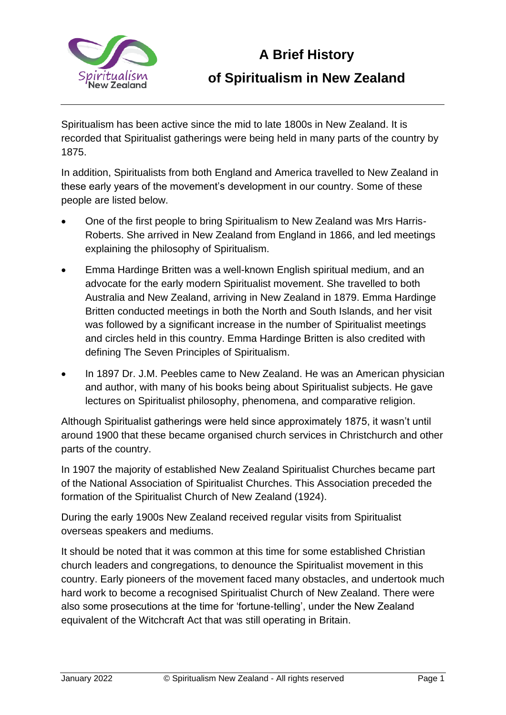

## **A Brief History of Spiritualism in New Zealand**

Spiritualism has been active since the mid to late 1800s in New Zealand. It is recorded that Spiritualist gatherings were being held in many parts of the country by 1875.

In addition, Spiritualists from both England and America travelled to New Zealand in these early years of the movement's development in our country. Some of these people are listed below.

- One of the first people to bring Spiritualism to New Zealand was Mrs Harris-Roberts. She arrived in New Zealand from England in 1866, and led meetings explaining the philosophy of Spiritualism.
- Emma Hardinge Britten was a well-known English spiritual medium, and an advocate for the early modern Spiritualist movement. She travelled to both Australia and New Zealand, arriving in New Zealand in 1879. Emma Hardinge Britten conducted meetings in both the North and South Islands, and her visit was followed by a significant increase in the number of Spiritualist meetings and circles held in this country. Emma Hardinge Britten is also credited with defining The Seven Principles of Spiritualism.
- In 1897 Dr. J.M. Peebles came to New Zealand. He was an American physician and author, with many of his books being about Spiritualist subjects. He gave lectures on Spiritualist philosophy, phenomena, and comparative religion.

Although Spiritualist gatherings were held since approximately 1875, it wasn't until around 1900 that these became organised church services in Christchurch and other parts of the country.

In 1907 the majority of established New Zealand Spiritualist Churches became part of the National Association of Spiritualist Churches. This Association preceded the formation of the Spiritualist Church of New Zealand (1924).

During the early 1900s New Zealand received regular visits from Spiritualist overseas speakers and mediums.

It should be noted that it was common at this time for some established Christian church leaders and congregations, to denounce the Spiritualist movement in this country. Early pioneers of the movement faced many obstacles, and undertook much hard work to become a recognised Spiritualist Church of New Zealand. There were also some prosecutions at the time for 'fortune-telling', under the New Zealand equivalent of the Witchcraft Act that was still operating in Britain.